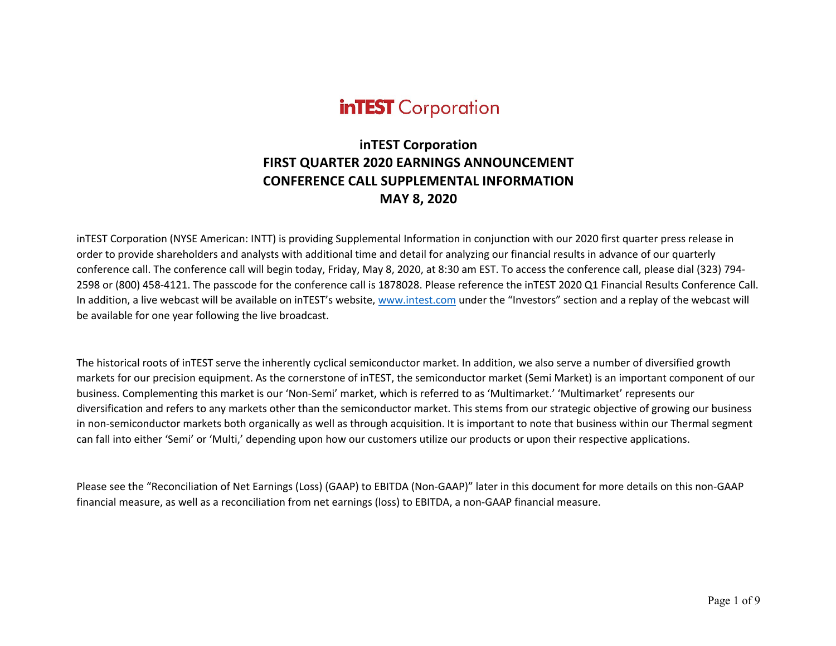# **inTEST** Corporation

# **inTEST Corporation FIRST QUARTER 2020 EARNINGS ANNOUNCEMENT CONFERENCE CALL SUPPLEMENTAL INFORMATION MAY 8, 2020**

inTEST Corporation (NYSE American: INTT) is providing Supplemental Information in conjunction with our 2020 first quarter press release in order to provide shareholders and analysts with additional time and detail for analyzing our financial results in advance of our quarterly conference call. The conference call will begin today, Friday, May 8, 2020, at 8:30 am EST. To access the conference call, please dial (323) 794- 2598 or (800) 458-4121. The passcode for the conference call is 1878028. Please reference the inTEST 2020 Q1 Financial Results Conference Call. In addition, a live webcast will be available on inTEST's website, www.intest.com under the "Investors" section and a replay of the webcast will be available for one year following the live broadcast.

The historical roots of inTEST serve the inherently cyclical semiconductor market. In addition, we also serve a number of diversified growth markets for our precision equipment. As the cornerstone of inTEST, the semiconductor market (Semi Market) is an important component of our business. Complementing this market is our 'Non-Semi' market, which is referred to as 'Multimarket.' 'Multimarket' represents our diversification and refers to any markets other than the semiconductor market. This stems from our strategic objective of growing our business in non-semiconductor markets both organically as well as through acquisition. It is important to note that business within our Thermal segment can fall into either 'Semi' or 'Multi,' depending upon how our customers utilize our products or upon their respective applications.

Please see the "Reconciliation of Net Earnings (Loss) (GAAP) to EBITDA (Non-GAAP)" later in this document for more details on this non-GAAP financial measure, as well as a reconciliation from net earnings (loss) to EBITDA, a non-GAAP financial measure.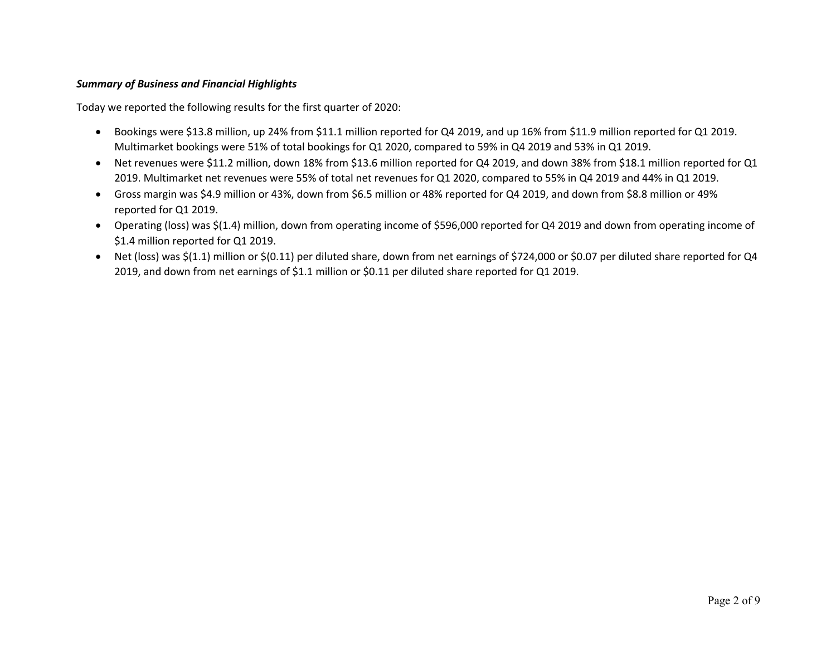#### *Summary of Business and Financial Highlights*

Today we reported the following results for the first quarter of 2020:

- Bookings were \$13.8 million, up 24% from \$11.1 million reported for Q4 2019, and up 16% from \$11.9 million reported for Q1 2019. Multimarket bookings were 51% of total bookings for Q1 2020, compared to 59% in Q4 2019 and 53% in Q1 2019.
- Net revenues were \$11.2 million, down 18% from \$13.6 million reported for Q4 2019, and down 38% from \$18.1 million reported for Q1 2019. Multimarket net revenues were 55% of total net revenues for Q1 2020, compared to 55% in Q4 2019 and 44% in Q1 2019.
- Gross margin was \$4.9 million or 43%, down from \$6.5 million or 48% reported for Q4 2019, and down from \$8.8 million or 49% reported for Q1 2019.
- Operating (loss) was \$(1.4) million, down from operating income of \$596,000 reported for Q4 2019 and down from operating income of \$1.4 million reported for Q1 2019.
- Net (loss) was \$(1.1) million or \$(0.11) per diluted share, down from net earnings of \$724,000 or \$0.07 per diluted share reported for Q4 2019, and down from net earnings of \$1.1 million or \$0.11 per diluted share reported for Q1 2019.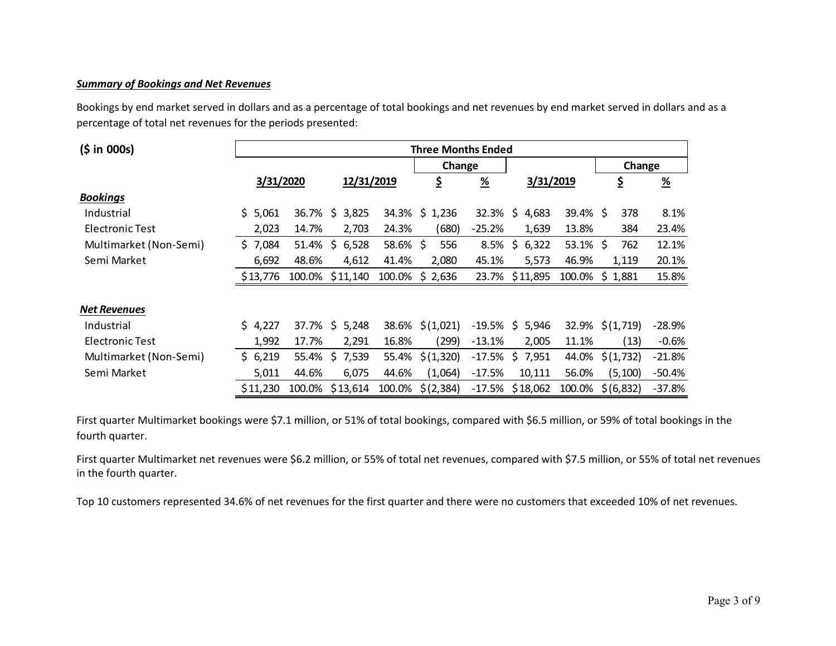### *Summary of Bookings and Net Revenues*

Bookings by end market served in dollars and as a percentage of total bookings and net revenues by end market served in dollars and as a percentage of total net revenues for the periods presented:

| (5 in 000s)            | <b>Three Months Ended</b> |        |                 |          |                 |               |                    |             |                 |               |
|------------------------|---------------------------|--------|-----------------|----------|-----------------|---------------|--------------------|-------------|-----------------|---------------|
|                        |                           |        |                 |          | Change          |               |                    |             | Change          |               |
|                        | 3/31/2020                 |        | 12/31/2019      |          | \$              | $\frac{9}{6}$ |                    | 3/31/2019   |                 | $\frac{9}{6}$ |
| <b>Bookings</b>        |                           |        |                 |          |                 |               |                    |             |                 |               |
| Industrial             | \$5,061                   | 36.7%  | \$<br>3,825     |          | 34.3% \$ 1,236  |               | 32.3% \$4,683      | $39.4\%$ \$ | 378             | 8.1%          |
| Electronic Test        | 2,023                     | 14.7%  | 2,703           | 24.3%    | (680)           | $-25.2%$      | 1,639              | 13.8%       | 384             | 23.4%         |
| Multimarket (Non-Semi) | \$7,084                   | 51.4%  | \$<br>6,528     | 58.6% \$ | 556             | 8.5%          | \$.<br>6,322       | $53.1\%$ \$ | 762             | 12.1%         |
| Semi Market            | 6,692                     | 48.6%  | 4,612           | 41.4%    | 2,080           | 45.1%         | 5,573              | 46.9%       | 1,119           | 20.1%         |
|                        | \$13,776                  | 100.0% | \$11,140        |          | 100.0% \$ 2,636 |               | 23.7% \$11,895     |             | 100.0% \$ 1,881 | 15.8%         |
| <b>Net Revenues</b>    |                           |        |                 |          |                 |               |                    |             |                 |               |
| Industrial             | \$4,227                   |        | 37.7% \$ 5,248  |          | 38.6% \$(1,021) |               | $-19.5\%$ \$ 5,946 | 32.9%       | \$(1,719)       | $-28.9%$      |
| <b>Electronic Test</b> | 1,992                     | 17.7%  | 2,291           | 16.8%    | (299)           | $-13.1%$      | 2,005              | 11.1%       | (13)            | $-0.6%$       |
| Multimarket (Non-Semi) | \$6,219                   | 55.4%  | \$<br>7,539     | 55.4%    | \$(1,320)       | $-17.5%$      | \$7,951            | 44.0%       | \$(1, 732)      | $-21.8%$      |
| Semi Market            | 5,011                     | 44.6%  | 6,075           | 44.6%    | (1,064)         | $-17.5%$      | 10,111             | 56.0%       | (5, 100)        | $-50.4%$      |
|                        | \$11,230                  |        | 100.0% \$13,614 | 100.0%   | \$(2,384)       | $-17.5%$      | \$18,062           | 100.0%      | \$(6,832)       | $-37.8%$      |

First quarter Multimarket bookings were \$7.1 million, or 51% of total bookings, compared with \$6.5 million, or 59% of total bookings in the fourth quarter.

First quarter Multimarket net revenues were \$6.2 million, or 55% of total net revenues, compared with \$7.5 million, or 55% of total net revenues in the fourth quarter.

Top 10 customers represented 34.6% of net revenues for the first quarter and there were no customers that exceeded 10% of net revenues.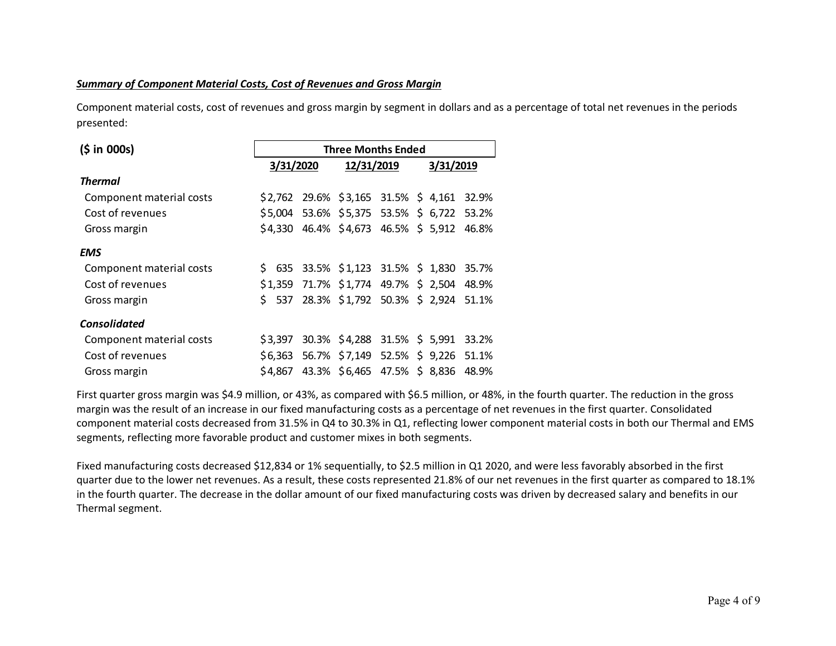#### *Summary of Component Material Costs, Cost of Revenues and Gross Margin*

Component material costs, cost of revenues and gross margin by segment in dollars and as a percentage of total net revenues in the periods presented:

| (5 in 000s)              | <b>Three Months Ended</b> |  |                                            |  |  |  |       |  |  |  |
|--------------------------|---------------------------|--|--------------------------------------------|--|--|--|-------|--|--|--|
|                          | 3/31/2020                 |  | 3/31/2019                                  |  |  |  |       |  |  |  |
| <b>Thermal</b>           |                           |  |                                            |  |  |  |       |  |  |  |
| Component material costs |                           |  | $$2,762$ 29.6% $$3,165$ 31.5% \$4,161      |  |  |  | 32.9% |  |  |  |
| Cost of revenues         |                           |  | \$5,004 53.6% \$5,375 53.5% \$ 6,722 53.2% |  |  |  |       |  |  |  |
| Gross margin             | \$4.330                   |  | 46.4% \$4,673 46.5% \$5,912                |  |  |  | 46.8% |  |  |  |
| <b>EMS</b>               |                           |  |                                            |  |  |  |       |  |  |  |
| Component material costs |                           |  | $$635$ 33.5% $$1,123$ 31.5% $$1,830$       |  |  |  | 35.7% |  |  |  |
| Cost of revenues         | \$1.359                   |  | 71.7% \$1,774 49.7% \$2,504                |  |  |  | 48.9% |  |  |  |
| Gross margin             | Ś.<br>537                 |  | 28.3% \$1,792 50.3% \$ 2,924 51.1%         |  |  |  |       |  |  |  |
| <b>Consolidated</b>      |                           |  |                                            |  |  |  |       |  |  |  |
| Component material costs | \$3.397                   |  | 30.3% \$4,288 31.5% \$5,991                |  |  |  | 33.2% |  |  |  |
| Cost of revenues         | \$6,363                   |  | 56.7% \$7,149 52.5% \$9,226 51.1%          |  |  |  |       |  |  |  |
| Gross margin             | \$4.867                   |  | 43.3% \$6,465 47.5% \$8,836                |  |  |  | 48.9% |  |  |  |

First quarter gross margin was \$4.9 million, or 43%, as compared with \$6.5 million, or 48%, in the fourth quarter. The reduction in the gross margin was the result of an increase in our fixed manufacturing costs as a percentage of net revenues in the first quarter. Consolidated component material costs decreased from 31.5% in Q4 to 30.3% in Q1, reflecting lower component material costs in both our Thermal and EMS segments, reflecting more favorable product and customer mixes in both segments.

Fixed manufacturing costs decreased \$12,834 or 1% sequentially, to \$2.5 million in Q1 2020, and were less favorably absorbed in the first quarter due to the lower net revenues. As a result, these costs represented 21.8% of our net revenues in the first quarter as compared to 18.1% in the fourth quarter. The decrease in the dollar amount of our fixed manufacturing costs was driven by decreased salary and benefits in our Thermal segment.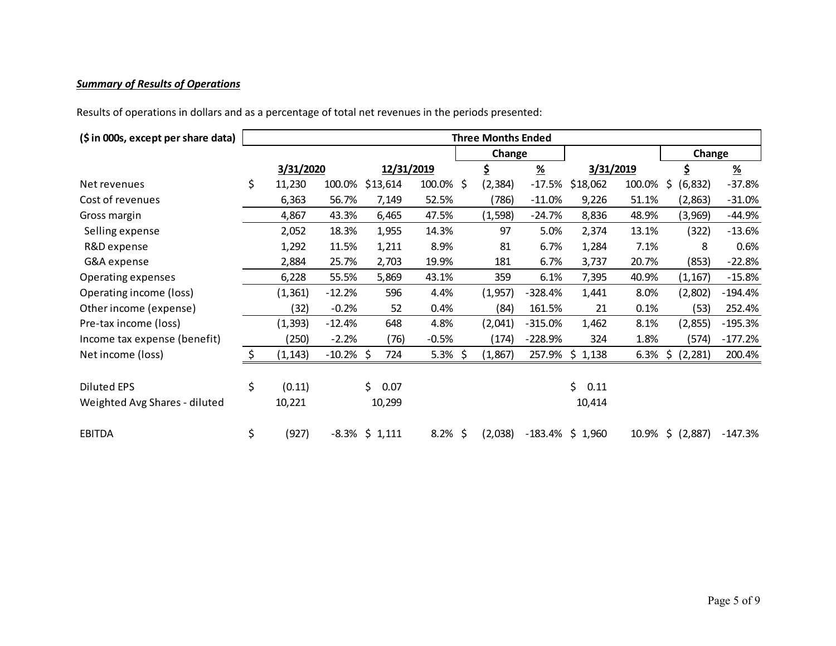## *Summary of Results of Operations*

Results of operations in dollars and as a percentage of total net revenues in the periods presented:

| (\$ in 000s, except per share data) | <b>Three Months Ended</b> |                   |    |            |            |  |          |                           |                     |        |                |                       |
|-------------------------------------|---------------------------|-------------------|----|------------|------------|--|----------|---------------------------|---------------------|--------|----------------|-----------------------|
|                                     |                           |                   |    |            |            |  | Change   |                           |                     |        | Change         |                       |
|                                     | 3/31/2020                 |                   |    | 12/31/2019 |            |  | \$       | $\underline{\mathcal{H}}$ | 3/31/2019           |        | \$             | $\frac{\%}{\sqrt{2}}$ |
| Net revenues                        | \$<br>11,230              | 100.0%            |    | \$13,614   | 100.0% \$  |  | (2, 384) | $-17.5%$                  | \$18,062            | 100.0% | \$<br>(6, 832) | $-37.8%$              |
| Cost of revenues                    | 6,363                     | 56.7%             |    | 7,149      | 52.5%      |  | (786)    | $-11.0%$                  | 9,226               | 51.1%  | (2,863)        | $-31.0%$              |
| Gross margin                        | 4,867                     | 43.3%             |    | 6,465      | 47.5%      |  | (1, 598) | $-24.7%$                  | 8,836               | 48.9%  | (3,969)        | $-44.9%$              |
| Selling expense                     | 2,052                     | 18.3%             |    | 1,955      | 14.3%      |  | 97       | 5.0%                      | 2,374               | 13.1%  | (322)          | $-13.6%$              |
| R&D expense                         | 1,292                     | 11.5%             |    | 1,211      | 8.9%       |  | 81       | 6.7%                      | 1,284               | 7.1%   | 8              | 0.6%                  |
| G&A expense                         | 2,884                     | 25.7%             |    | 2,703      | 19.9%      |  | 181      | 6.7%                      | 3,737               | 20.7%  | (853)          | $-22.8%$              |
| Operating expenses                  | 6,228                     | 55.5%             |    | 5,869      | 43.1%      |  | 359      | 6.1%                      | 7,395               | 40.9%  | (1, 167)       | $-15.8%$              |
| Operating income (loss)             | (1, 361)                  | $-12.2%$          |    | 596        | 4.4%       |  | (1,957)  | $-328.4%$                 | 1,441               | 8.0%   | (2,802)        | $-194.4%$             |
| Other income (expense)              | (32)                      | $-0.2%$           |    | 52         | 0.4%       |  | (84)     | 161.5%                    | 21                  | 0.1%   | (53)           | 252.4%                |
| Pre-tax income (loss)               | (1, 393)                  | $-12.4%$          |    | 648        | 4.8%       |  | (2,041)  | $-315.0%$                 | 1,462               | 8.1%   | (2,855)        | $-195.3%$             |
| Income tax expense (benefit)        | (250)                     | $-2.2%$           |    | (76)       | $-0.5%$    |  | (174)    | $-228.9%$                 | 324                 | 1.8%   | (574)          | $-177.2%$             |
| Net income (loss)                   | \$<br>(1, 143)            | $-10.2\%$ \$      |    | 724        | 5.3% \$    |  | (1,867)  |                           | 257.9% \$ 1,138     | 6.3%   | \$<br>(2, 281) | 200.4%                |
|                                     |                           |                   |    |            |            |  |          |                           |                     |        |                |                       |
| <b>Diluted EPS</b>                  | \$<br>(0.11)              |                   | \$ | 0.07       |            |  |          |                           | Ś.<br>0.11          |        |                |                       |
| Weighted Avg Shares - diluted       | 10,221                    |                   |    | 10,299     |            |  |          |                           | 10,414              |        |                |                       |
| <b>EBITDA</b>                       | \$<br>(927)               | $-8.3\%$ \$ 1,111 |    |            | $8.2\%$ \$ |  | (2,038)  |                           | $-183.4\%$ \$ 1,960 | 10.9%  | \$ (2,887)     | $-147.3%$             |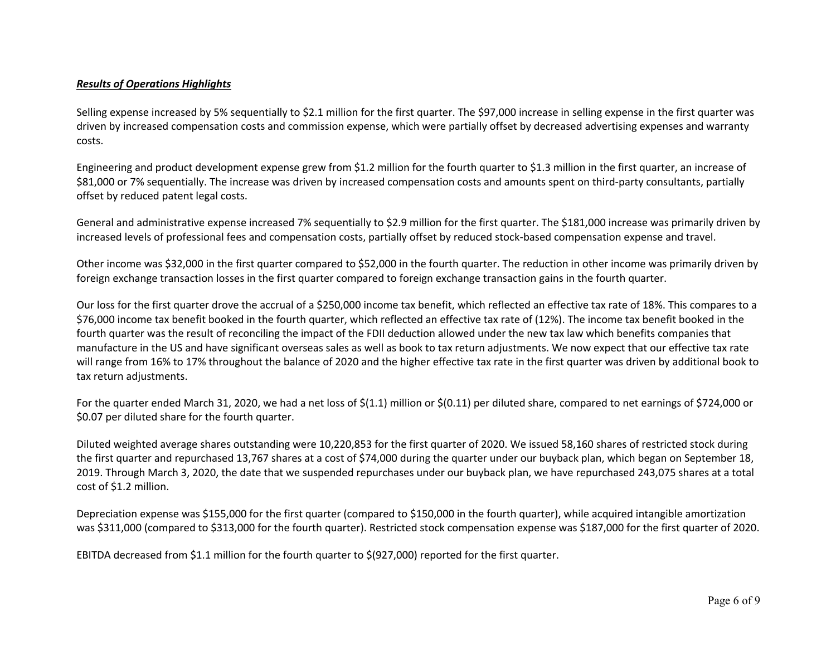#### *Results of Operations Highlights*

Selling expense increased by 5% sequentially to \$2.1 million for the first quarter. The \$97,000 increase in selling expense in the first quarter was driven by increased compensation costs and commission expense, which were partially offset by decreased advertising expenses and warranty costs.

Engineering and product development expense grew from \$1.2 million for the fourth quarter to \$1.3 million in the first quarter, an increase of \$81,000 or 7% sequentially. The increase was driven by increased compensation costs and amounts spent on third-party consultants, partially offset by reduced patent legal costs.

General and administrative expense increased 7% sequentially to \$2.9 million for the first quarter. The \$181,000 increase was primarily driven by increased levels of professional fees and compensation costs, partially offset by reduced stock-based compensation expense and travel.

Other income was \$32,000 in the first quarter compared to \$52,000 in the fourth quarter. The reduction in other income was primarily driven by foreign exchange transaction losses in the first quarter compared to foreign exchange transaction gains in the fourth quarter.

Our loss for the first quarter drove the accrual of a \$250,000 income tax benefit, which reflected an effective tax rate of 18%. This compares to a \$76,000 income tax benefit booked in the fourth quarter, which reflected an effective tax rate of (12%). The income tax benefit booked in the fourth quarter was the result of reconciling the impact of the FDII deduction allowed under the new tax law which benefits companies that manufacture in the US and have significant overseas sales as well as book to tax return adjustments. We now expect that our effective tax rate will range from 16% to 17% throughout the balance of 2020 and the higher effective tax rate in the first quarter was driven by additional book to tax return adjustments.

For the quarter ended March 31, 2020, we had a net loss of \$(1.1) million or \$(0.11) per diluted share, compared to net earnings of \$724,000 or \$0.07 per diluted share for the fourth quarter.

Diluted weighted average shares outstanding were 10,220,853 for the first quarter of 2020. We issued 58,160 shares of restricted stock during the first quarter and repurchased 13,767 shares at a cost of \$74,000 during the quarter under our buyback plan, which began on September 18, 2019. Through March 3, 2020, the date that we suspended repurchases under our buyback plan, we have repurchased 243,075 shares at a total cost of \$1.2 million.

Depreciation expense was \$155,000 for the first quarter (compared to \$150,000 in the fourth quarter), while acquired intangible amortization was \$311,000 (compared to \$313,000 for the fourth quarter). Restricted stock compensation expense was \$187,000 for the first quarter of 2020.

EBITDA decreased from \$1.1 million for the fourth quarter to \$(927,000) reported for the first quarter.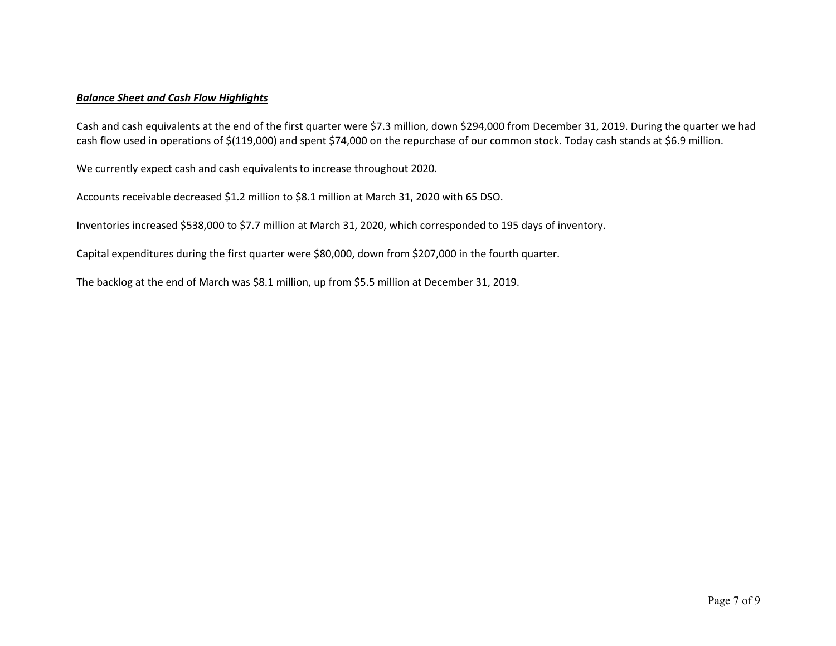#### *Balance Sheet and Cash Flow Highlights*

Cash and cash equivalents at the end of the first quarter were \$7.3 million, down \$294,000 from December 31, 2019. During the quarter we had cash flow used in operations of \$(119,000) and spent \$74,000 on the repurchase of our common stock. Today cash stands at \$6.9 million.

We currently expect cash and cash equivalents to increase throughout 2020.

Accounts receivable decreased \$1.2 million to \$8.1 million at March 31, 2020 with 65 DSO.

Inventories increased \$538,000 to \$7.7 million at March 31, 2020, which corresponded to 195 days of inventory.

Capital expenditures during the first quarter were \$80,000, down from \$207,000 in the fourth quarter.

The backlog at the end of March was \$8.1 million, up from \$5.5 million at December 31, 2019.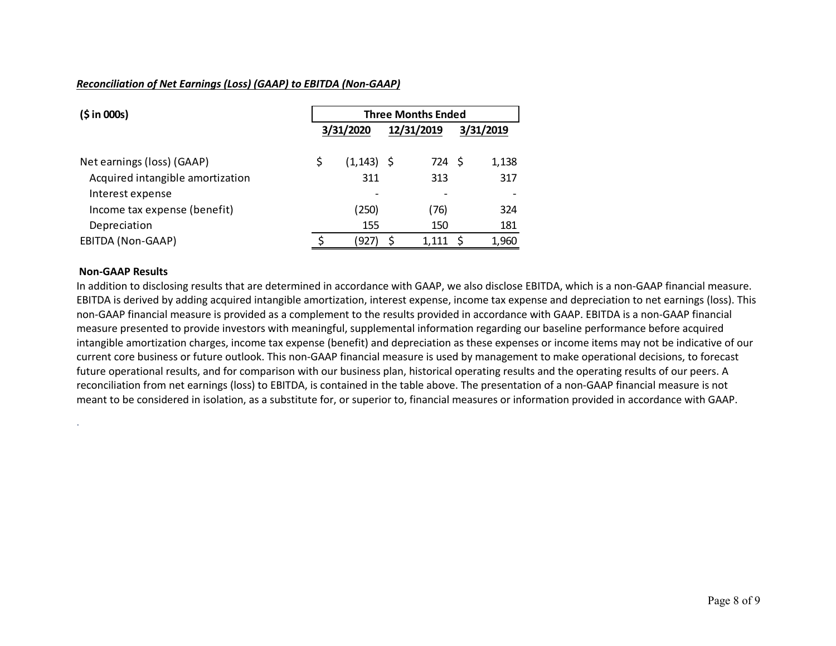#### *Reconciliation of Net Earnings (Loss) (GAAP) to EBITDA (Non-GAAP)*

| (5 in 000s)                      | <b>Three Months Ended</b> |                 |            |        |  |           |  |  |
|----------------------------------|---------------------------|-----------------|------------|--------|--|-----------|--|--|
|                                  |                           | 3/31/2020       | 12/31/2019 |        |  | 3/31/2019 |  |  |
| Net earnings (loss) (GAAP)       | \$                        | (1,143) \$      |            | 724 \$ |  | 1,138     |  |  |
| Acquired intangible amortization |                           | 311             |            | 313    |  | 317       |  |  |
| Interest expense                 |                           | $\qquad \qquad$ |            |        |  |           |  |  |
| Income tax expense (benefit)     |                           | (250)           |            | (76)   |  | 324       |  |  |
| Depreciation                     |                           | 155             |            | 150    |  | 181       |  |  |
| EBITDA (Non-GAAP)                |                           | (927)           |            | 1,111  |  | 1,960     |  |  |

#### **Non-GAAP Results**

.

In addition to disclosing results that are determined in accordance with GAAP, we also disclose EBITDA, which is a non-GAAP financial measure. EBITDA is derived by adding acquired intangible amortization, interest expense, income tax expense and depreciation to net earnings (loss). This non-GAAP financial measure is provided as a complement to the results provided in accordance with GAAP. EBITDA is a non-GAAP financial measure presented to provide investors with meaningful, supplemental information regarding our baseline performance before acquired intangible amortization charges, income tax expense (benefit) and depreciation as these expenses or income items may not be indicative of our current core business or future outlook. This non-GAAP financial measure is used by management to make operational decisions, to forecast future operational results, and for comparison with our business plan, historical operating results and the operating results of our peers. A reconciliation from net earnings (loss) to EBITDA, is contained in the table above. The presentation of a non-GAAP financial measure is not meant to be considered in isolation, as a substitute for, or superior to, financial measures or information provided in accordance with GAAP.